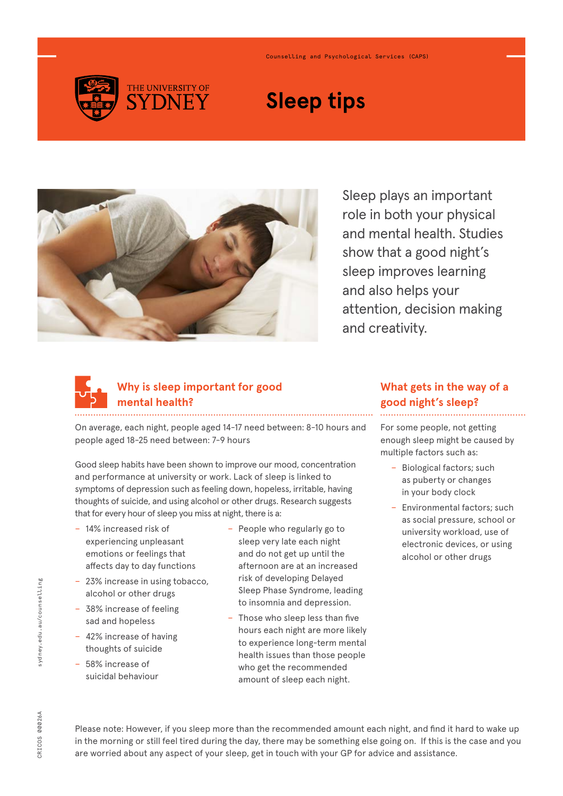

#### Counselling and Psychological Services (CAPS)

# **Sleep tips**



Sleep plays an important role in both your physical and mental health. Studies show that a good night's sleep improves learning and also helps your attention, decision making and creativity.



# **Why is sleep important for good mental health?**

On average, each night, people aged 14-17 need between: 8-10 hours and people aged 18-25 need between: 7-9 hours

Good sleep habits have been shown to improve our mood, concentration and performance at university or work. Lack of sleep is linked to symptoms of depression such as feeling down, hopeless, irritable, having thoughts of suicide, and using alcohol or other drugs. Research suggests that for every hour of sleep you miss at night, there is a:

- − 14% increased risk of experiencing unpleasant emotions or feelings that affects day to day functions
- 23% increase in using tobacco, alcohol or other drugs
- − 38% increase of feeling sad and hopeless
- − 42% increase of having thoughts of suicide
- − 58% increase of suicidal behaviour
- People who regularly go to sleep very late each night and do not get up until the afternoon are at an increased risk of developing Delayed Sleep Phase Syndrome, leading to insomnia and depression.
- Those who sleep less than five hours each night are more likely to experience long-term mental health issues than those people who get the recommended amount of sleep each night.

## **What gets in the way of a good night's sleep?**

For some people, not getting enough sleep might be caused by multiple factors such as:

- − Biological factors; such as puberty or changes in your body clock
- Environmental factors; such as social pressure, school or university workload, use of electronic devices, or using alcohol or other drugs

Please note: However, if you sleep more than the recommended amount each night, and find it hard to wake up in the morning or still feel tired during the day, there may be something else going on. If this is the case and you are worried about any aspect of your sleep, get in touch with your GP for advice and assistance.